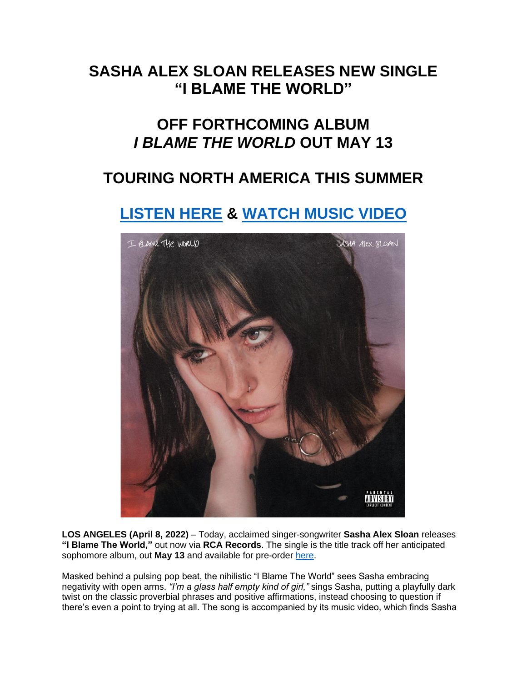## **SASHA ALEX SLOAN RELEASES NEW SINGLE "I BLAME THE WORLD"**

## **OFF FORTHCOMING ALBUM** *I BLAME THE WORLD* **OUT MAY 13**

## **TOURING NORTH AMERICA THIS SUMMER**

# **[LISTEN HERE](https://eur01.safelinks.protection.outlook.com/?url=https%3A%2F%2Fsadgirlsloan.lnk.to%2Fiblametheworld&data=04%7C01%7Cnoelle.janasiewicz.sme%40sonymusic.com%7C3a2b41e1eb85414fcefe08da19736f15%7Cf0aff3b791a54aaeaf71c63e1dda2049%7C0%7C0%7C637850280841151550%7CUnknown%7CTWFpbGZsb3d8eyJWIjoiMC4wLjAwMDAiLCJQIjoiV2luMzIiLCJBTiI6Ik1haWwiLCJXVCI6Mn0%3D%7C3000&sdata=3u3bKwCRwsSvM924mLx1UqHZrCJFukM1VLlUL4RNeGE%3D&reserved=0) & [WATCH MUSIC VIDEO](https://eur01.safelinks.protection.outlook.com/?url=https%3A%2F%2Fsadgirlsloan.lnk.to%2FIBTWVideo&data=04%7C01%7Cnoelle.janasiewicz.sme%40sonymusic.com%7C3a2b41e1eb85414fcefe08da19736f15%7Cf0aff3b791a54aaeaf71c63e1dda2049%7C0%7C0%7C637850280841151550%7CUnknown%7CTWFpbGZsb3d8eyJWIjoiMC4wLjAwMDAiLCJQIjoiV2luMzIiLCJBTiI6Ik1haWwiLCJXVCI6Mn0%3D%7C3000&sdata=TSNHVcnNdl003iKSz%2BUWzpvBWlWHbGitLboAetii9OI%3D&reserved=0)**



**LOS ANGELES (April 8, 2022)** – Today, acclaimed singer-songwriter **Sasha Alex Sloan** releases **"I Blame The World,"** out now via **RCA Records**. The single is the title track off her anticipated sophomore album, out **May 13** and available for pre-order [here.](https://eur01.safelinks.protection.outlook.com/?url=https%3A%2F%2Fsadgirlsloan.lnk.to%2FIBTW&data=04%7C01%7Cnoelle.janasiewicz.sme%40sonymusic.com%7C3a2b41e1eb85414fcefe08da19736f15%7Cf0aff3b791a54aaeaf71c63e1dda2049%7C0%7C0%7C637850280841151550%7CUnknown%7CTWFpbGZsb3d8eyJWIjoiMC4wLjAwMDAiLCJQIjoiV2luMzIiLCJBTiI6Ik1haWwiLCJXVCI6Mn0%3D%7C3000&sdata=pj1L9mbc8d7AfeTlL9lBgVZzBtvdW8VkdYiB%2FrQgbJ0%3D&reserved=0)

Masked behind a pulsing pop beat, the nihilistic "I Blame The World" sees Sasha embracing negativity with open arms. *"I'm a glass half empty kind of girl,"* sings Sasha, putting a playfully dark twist on the classic proverbial phrases and positive affirmations, instead choosing to question if there's even a point to trying at all. The song is accompanied by its music video, which finds Sasha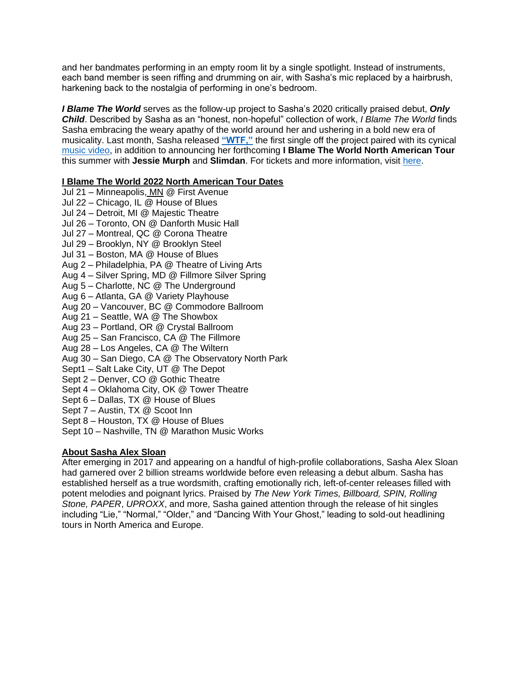and her bandmates performing in an empty room lit by a single spotlight. Instead of instruments, each band member is seen riffing and drumming on air, with Sasha's mic replaced by a hairbrush, harkening back to the nostalgia of performing in one's bedroom.

*I Blame The World* serves as the follow-up project to Sasha's 2020 critically praised debut, *Only Child*. Described by Sasha as an "honest, non-hopeful" collection of work, *I Blame The World* finds Sasha embracing the weary apathy of the world around her and ushering in a bold new era of musicality. Last month, Sasha released **["WTF,"](https://eur01.safelinks.protection.outlook.com/?url=https%3A%2F%2Fsadgirlsloan.lnk.to%2FWTF&data=04%7C01%7Cnoelle.janasiewicz.sme%40sonymusic.com%7C3a2b41e1eb85414fcefe08da19736f15%7Cf0aff3b791a54aaeaf71c63e1dda2049%7C0%7C0%7C637850280841151550%7CUnknown%7CTWFpbGZsb3d8eyJWIjoiMC4wLjAwMDAiLCJQIjoiV2luMzIiLCJBTiI6Ik1haWwiLCJXVCI6Mn0%3D%7C3000&sdata=mrbASYZ3Hxl%2B02DaTd%2BDke9RytrCiEKssUlioBcVE4Q%3D&reserved=0)** the first single off the project paired with its cynical [music video,](https://eur01.safelinks.protection.outlook.com/?url=https%3A%2F%2Fyoutu.be%2F1xilft93i0A&data=04%7C01%7Cnoelle.janasiewicz.sme%40sonymusic.com%7C3a2b41e1eb85414fcefe08da19736f15%7Cf0aff3b791a54aaeaf71c63e1dda2049%7C0%7C0%7C637850280841307784%7CUnknown%7CTWFpbGZsb3d8eyJWIjoiMC4wLjAwMDAiLCJQIjoiV2luMzIiLCJBTiI6Ik1haWwiLCJXVCI6Mn0%3D%7C3000&sdata=xYmQ94VcD2zfn26cuUaFwjN3C908NLT87gX0rTPfh9g%3D&reserved=0) in addition to announcing her forthcoming **I Blame The World North American Tour** this summer with **Jessie Murph** and **Slimdan**. For tickets and more information, visit [here.](https://eur01.safelinks.protection.outlook.com/?url=https%3A%2F%2Fwww.sadgirlsloan.com%2Ftour%2F&data=04%7C01%7Cnoelle.janasiewicz.sme%40sonymusic.com%7C3a2b41e1eb85414fcefe08da19736f15%7Cf0aff3b791a54aaeaf71c63e1dda2049%7C0%7C0%7C637850280841307784%7CUnknown%7CTWFpbGZsb3d8eyJWIjoiMC4wLjAwMDAiLCJQIjoiV2luMzIiLCJBTiI6Ik1haWwiLCJXVCI6Mn0%3D%7C3000&sdata=OYVFEOvyXwYzYH82hMTc9p8t7ZCDyQYZ3qzDdvVTuCw%3D&reserved=0)

#### **I Blame The World 2022 North American Tour Dates**

- Jul 21 Minneapolis, MN @ First Avenue Jul 22 – Chicago, IL @ House of Blues Jul 24 – Detroit, MI @ Majestic Theatre Jul 26 – Toronto, ON @ Danforth Music Hall Jul 27 – Montreal, QC @ Corona Theatre Jul 29 – Brooklyn, NY @ Brooklyn Steel Jul 31 – Boston, MA @ House of Blues Aug 2 – Philadelphia, PA @ Theatre of Living Arts Aug 4 – Silver Spring, MD @ Fillmore Silver Spring Aug 5 – Charlotte, NC @ The Underground Aug 6 – Atlanta, GA @ Variety Playhouse Aug 20 – Vancouver, BC @ Commodore Ballroom Aug 21 – Seattle, WA @ The Showbox Aug 23 – Portland, OR @ Crystal Ballroom Aug 25 – San Francisco, CA @ The Fillmore Aug 28 – Los Angeles, CA @ The Wiltern Aug 30 – San Diego, CA @ The Observatory North Park Sept1 – Salt Lake City, UT @ The Depot Sept 2 – Denver, CO @ Gothic Theatre Sept 4 – Oklahoma City, OK @ Tower Theatre Sept 6 – Dallas, TX @ House of Blues Sept 7 – Austin, TX @ Scoot Inn
- Sept 8 Houston, TX @ House of Blues
- Sept 10 Nashville, TN @ Marathon Music Works

### **About Sasha Alex Sloan**

After emerging in 2017 and appearing on a handful of high-profile collaborations, Sasha Alex Sloan had garnered over 2 billion streams worldwide before even releasing a debut album. Sasha has established herself as a true wordsmith, crafting emotionally rich, left-of-center releases filled with potent melodies and poignant lyrics. Praised by *The New York Times, Billboard, SPIN, Rolling Stone, PAPER*, *UPROXX*, and more, Sasha gained attention through the release of hit singles including "Lie," "Normal," "Older," and "Dancing With Your Ghost," leading to sold-out headlining tours in North America and Europe.